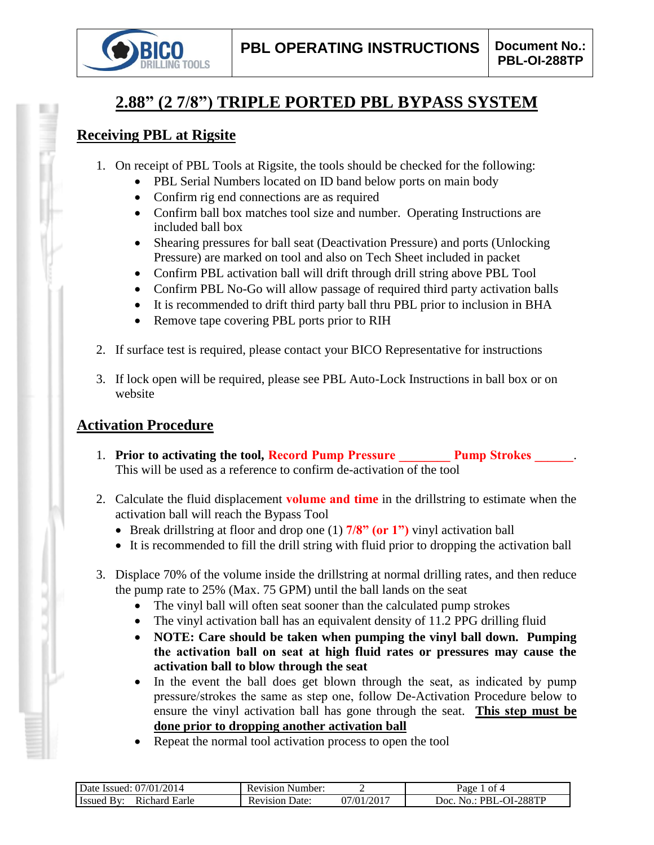

# **2.88" (2 7/8") TRIPLE PORTED PBL BYPASS SYSTEM**

#### **Receiving PBL at Rigsite**

- 1. On receipt of PBL Tools at Rigsite, the tools should be checked for the following:
	- PBL Serial Numbers located on ID band below ports on main body
	- Confirm rig end connections are as required
	- Confirm ball box matches tool size and number. Operating Instructions are included ball box
	- Shearing pressures for ball seat (Deactivation Pressure) and ports (Unlocking Pressure) are marked on tool and also on Tech Sheet included in packet
	- Confirm PBL activation ball will drift through drill string above PBL Tool
	- Confirm PBL No-Go will allow passage of required third party activation balls
	- It is recommended to drift third party ball thru PBL prior to inclusion in BHA
	- Remove tape covering PBL ports prior to RIH
- 2. If surface test is required, please contact your BICO Representative for instructions
- 3. If lock open will be required, please see PBL Auto-Lock Instructions in ball box or on website

## **Activation Procedure**

- 1. **Prior to activating the tool, Record Pump Pressure Pump Strokes 2014** This will be used as a reference to confirm de-activation of the tool
- 2. Calculate the fluid displacement **volume and time** in the drillstring to estimate when the activation ball will reach the Bypass Tool
	- Break drillstring at floor and drop one (1) **7/8" (or 1")** vinyl activation ball
	- It is recommended to fill the drill string with fluid prior to dropping the activation ball
- 3. Displace 70% of the volume inside the drillstring at normal drilling rates, and then reduce the pump rate to 25% (Max. 75 GPM) until the ball lands on the seat
	- The vinyl ball will often seat sooner than the calculated pump strokes
	- The vinyl activation ball has an equivalent density of 11.2 PPG drilling fluid
	- **NOTE: Care should be taken when pumping the vinyl ball down. Pumping the activation ball on seat at high fluid rates or pressures may cause the activation ball to blow through the seat**
	- In the event the ball does get blown through the seat, as indicated by pump pressure/strokes the same as step one, follow De-Activation Procedure below to ensure the vinyl activation ball has gone through the seat. **This step must be done prior to dropping another activation ball**
	- Repeat the normal tool activation process to open the tool

| 2014<br>07/01<br>Date .<br>- Issued:          | Number:<br>Revision      |               | nt 4<br>Раое                                 |
|-----------------------------------------------|--------------------------|---------------|----------------------------------------------|
| Earle<br>chard<br>- Issued<br>R <sub>10</sub> | Jate:<br>evision).<br>ĸι | /2017<br>7/01 | 288TP<br>Joc<br>PRI<br>$\mathbf{a}$<br>H – 1 |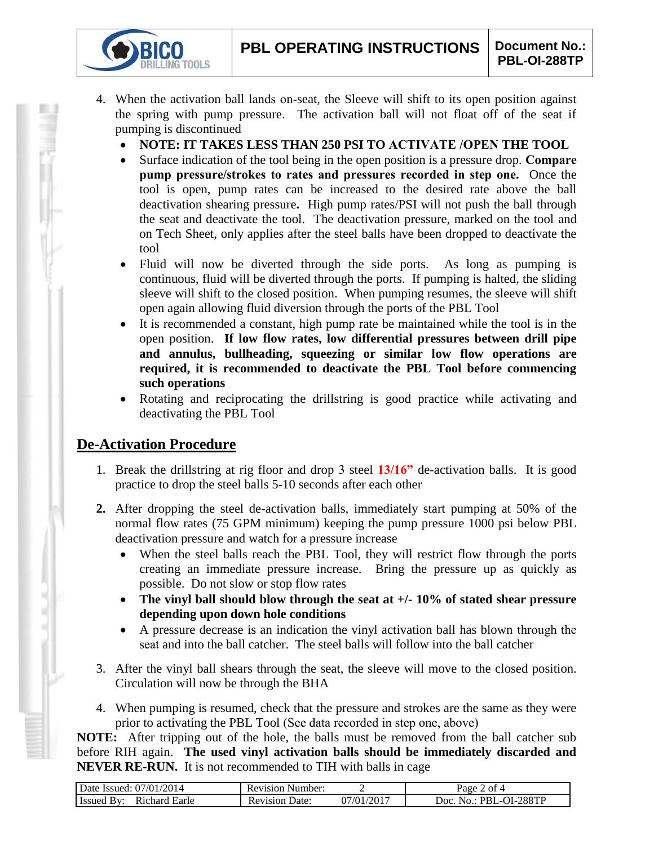- 4. When the activation ball lands on-seat, the Sleeve will shift to its open position against the spring with pump pressure. The activation ball will not float off of the seat if pumping is discontinued
	- **NOTE: IT TAKES LESS THAN 250 PSI TO ACTIVATE /OPEN THE TOOL**
	- Surface indication of the tool being in the open position is a pressure drop. **Compare pump pressure/strokes to rates and pressures recorded in step one.** Once the tool is open, pump rates can be increased to the desired rate above the ball deactivation shearing pressure**.** High pump rates/PSI will not push the ball through the seat and deactivate the tool. The deactivation pressure, marked on the tool and on Tech Sheet, only applies after the steel balls have been dropped to deactivate the tool
	- Fluid will now be diverted through the side ports. As long as pumping is continuous, fluid will be diverted through the ports. If pumping is halted, the sliding sleeve will shift to the closed position. When pumping resumes, the sleeve will shift open again allowing fluid diversion through the ports of the PBL Tool
	- It is recommended a constant, high pump rate be maintained while the tool is in the open position. **If low flow rates, low differential pressures between drill pipe and annulus, bullheading, squeezing or similar low flow operations are required, it is recommended to deactivate the PBL Tool before commencing such operations**
	- Rotating and reciprocating the drillstring is good practice while activating and deactivating the PBL Tool

## **De-Activation Procedure**

**TOOLS** 

- 1. Break the drillstring at rig floor and drop 3 steel **13/16"** de-activation balls. It is good practice to drop the steel balls 5-10 seconds after each other
- **2.** After dropping the steel de-activation balls, immediately start pumping at 50% of the normal flow rates (75 GPM minimum) keeping the pump pressure 1000 psi below PBL deactivation pressure and watch for a pressure increase
	- When the steel balls reach the PBL Tool, they will restrict flow through the ports creating an immediate pressure increase. Bring the pressure up as quickly as possible. Do not slow or stop flow rates
	- **The vinyl ball should blow through the seat at +/- 10% of stated shear pressure depending upon down hole conditions**
	- A pressure decrease is an indication the vinyl activation ball has blown through the seat and into the ball catcher. The steel balls will follow into the ball catcher
- 3. After the vinyl ball shears through the seat, the sleeve will move to the closed position. Circulation will now be through the BHA
- 4. When pumping is resumed, check that the pressure and strokes are the same as they were prior to activating the PBL Tool (See data recorded in step one, above)

**NOTE:** After tripping out of the hole, the balls must be removed from the ball catcher sub before RIH again. **The used vinyl activation balls should be immediately discarded and NEVER RE-RUN.** It is not recommended to TIH with balls in cage

| Date Issued: 07/01/2014          | <b>Revision Number:</b> |           | age<br>ot 4                                 |
|----------------------------------|-------------------------|-----------|---------------------------------------------|
| Issued<br>Richard Earle<br>⊥ Bv' | Date:<br>Revision       | //01/2017 | ∟-OI-288TP<br>PRI<br>JOC.<br>$N_{\Omega}$ . |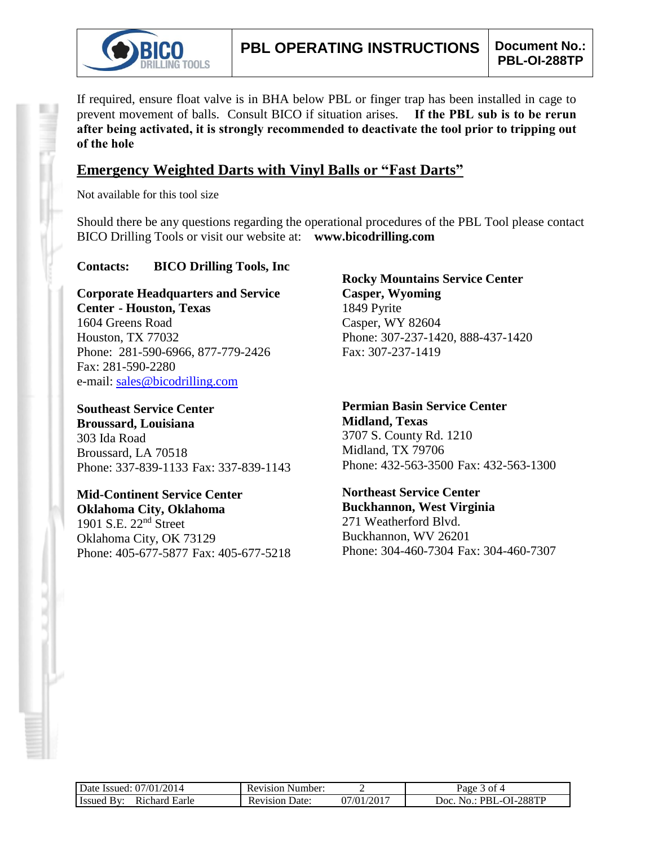

If required, ensure float valve is in BHA below PBL or finger trap has been installed in cage to prevent movement of balls. Consult BICO if situation arises. **If the PBL sub is to be rerun after being activated, it is strongly recommended to deactivate the tool prior to tripping out of the hole**

### **Emergency Weighted Darts with Vinyl Balls or "Fast Darts"**

Not available for this tool size

Should there be any questions regarding the operational procedures of the PBL Tool please contact BICO Drilling Tools or visit our website at: **www.bicodrilling.com**

#### **Contacts: BICO Drilling Tools, Inc**

**Corporate Headquarters and Service Center - Houston, Texas** 1604 Greens Road Houston, TX 77032 Phone: 281-590-6966, 877-779-2426 Fax: 281-590-2280 e-mail: [sales@bicodrilling.com](mailto:sales@bicodrilling.com)

**Southeast Service Center Broussard, Louisiana** 303 Ida Road Broussard, LA 70518 Phone: 337-839-1133 Fax: 337-839-1143

**Mid-Continent Service Center Oklahoma City, Oklahoma** 1901 S.E. 22nd Street Oklahoma City, OK 73129 Phone: 405-677-5877 Fax: 405-677-5218

**Rocky Mountains Service Center Casper, Wyoming** 1849 Pyrite Casper, WY 82604 Phone: 307-237-1420, 888-437-1420 Fax: 307-237-1419

**Permian Basin Service Center Midland, Texas** 3707 S. County Rd. 1210 Midland, TX 79706 Phone: 432-563-3500 Fax: 432-563-1300

**Northeast Service Center Buckhannon, West Virginia** 271 Weatherford Blvd. Buckhannon, WV 26201 Phone: 304-460-7304 Fax: 304-460-7307

| Date Issued: 07/01/2014            | <b>Revision Number:</b> |            | 3 of 4<br>Page 5                      |
|------------------------------------|-------------------------|------------|---------------------------------------|
| <b>Issued By:</b><br>Richard Earle | <b>Revision Date:</b>   | 07/01/2017 | No.: PBL-OI-288TP<br>10C <sub>1</sub> |